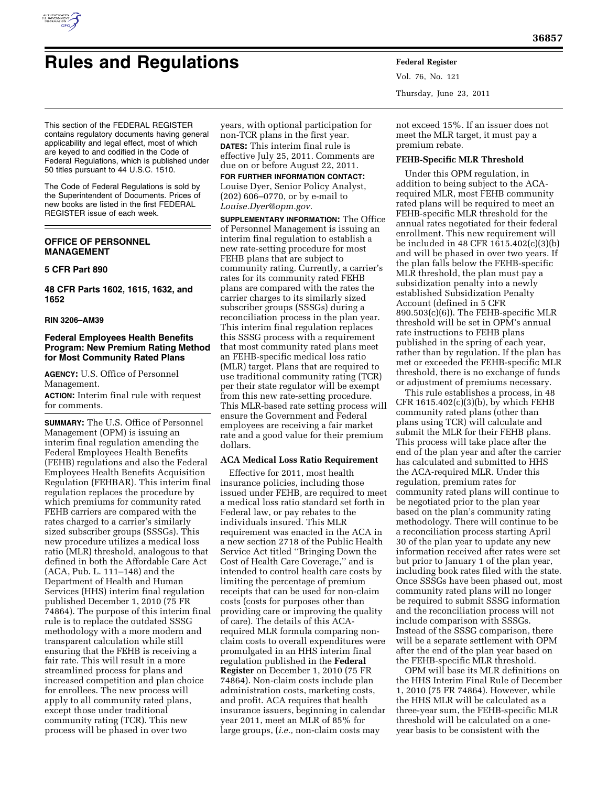

# **Rules and Regulations Federal Register**

Vol. 76, No. 121 Thursday, June 23, 2011

This section of the FEDERAL REGISTER contains regulatory documents having general applicability and legal effect, most of which are keyed to and codified in the Code of Federal Regulations, which is published under 50 titles pursuant to 44 U.S.C. 1510.

The Code of Federal Regulations is sold by the Superintendent of Documents. Prices of new books are listed in the first FEDERAL REGISTER issue of each week.

# **OFFICE OF PERSONNEL MANAGEMENT**

## **5 CFR Part 890**

**48 CFR Parts 1602, 1615, 1632, and 1652** 

## **RIN 3206–AM39**

# **Federal Employees Health Benefits Program: New Premium Rating Method for Most Community Rated Plans**

**AGENCY:** U.S. Office of Personnel Management.

**ACTION:** Interim final rule with request for comments.

**SUMMARY:** The U.S. Office of Personnel Management (OPM) is issuing an interim final regulation amending the Federal Employees Health Benefits (FEHB) regulations and also the Federal Employees Health Benefits Acquisition Regulation (FEHBAR). This interim final regulation replaces the procedure by which premiums for community rated FEHB carriers are compared with the rates charged to a carrier's similarly sized subscriber groups (SSSGs). This new procedure utilizes a medical loss ratio (MLR) threshold, analogous to that defined in both the Affordable Care Act (ACA, Pub. L. 111–148) and the Department of Health and Human Services (HHS) interim final regulation published December 1, 2010 (75 FR 74864). The purpose of this interim final rule is to replace the outdated SSSG methodology with a more modern and transparent calculation while still ensuring that the FEHB is receiving a fair rate. This will result in a more streamlined process for plans and increased competition and plan choice for enrollees. The new process will apply to all community rated plans, except those under traditional community rating (TCR). This new process will be phased in over two

years, with optional participation for non-TCR plans in the first year. **DATES:** This interim final rule is effective July 25, 2011. Comments are due on or before August 22, 2011.

**FOR FURTHER INFORMATION CONTACT:**  Louise Dyer, Senior Policy Analyst, (202) 606–0770, or by e-mail to *[Louise.Dyer@opm.gov.](mailto:Louise.Dyer@opm.gov)* 

**SUPPLEMENTARY INFORMATION:** The Office of Personnel Management is issuing an interim final regulation to establish a new rate-setting procedure for most FEHB plans that are subject to community rating. Currently, a carrier's rates for its community rated FEHB plans are compared with the rates the carrier charges to its similarly sized subscriber groups (SSSGs) during a reconciliation process in the plan year. This interim final regulation replaces this SSSG process with a requirement that most community rated plans meet an FEHB-specific medical loss ratio (MLR) target. Plans that are required to use traditional community rating (TCR) per their state regulator will be exempt from this new rate-setting procedure. This MLR-based rate setting process will ensure the Government and Federal employees are receiving a fair market rate and a good value for their premium dollars.

## **ACA Medical Loss Ratio Requirement**

Effective for 2011, most health insurance policies, including those issued under FEHB, are required to meet a medical loss ratio standard set forth in Federal law, or pay rebates to the individuals insured. This MLR requirement was enacted in the ACA in a new section 2718 of the Public Health Service Act titled ''Bringing Down the Cost of Health Care Coverage,'' and is intended to control health care costs by limiting the percentage of premium receipts that can be used for non-claim costs (costs for purposes other than providing care or improving the quality of care). The details of this ACArequired MLR formula comparing nonclaim costs to overall expenditures were promulgated in an HHS interim final regulation published in the **Federal Register** on December 1, 2010 (75 FR 74864). Non-claim costs include plan administration costs, marketing costs, and profit. ACA requires that health insurance issuers, beginning in calendar year 2011, meet an MLR of 85% for large groups, (*i.e.,* non-claim costs may

not exceed 15%. If an issuer does not meet the MLR target, it must pay a premium rebate.

# **FEHB-Specific MLR Threshold**

Under this OPM regulation, in addition to being subject to the ACArequired MLR, most FEHB community rated plans will be required to meet an FEHB-specific MLR threshold for the annual rates negotiated for their federal enrollment. This new requirement will be included in 48 CFR 1615.402(c)(3)(b) and will be phased in over two years. If the plan falls below the FEHB-specific MLR threshold, the plan must pay a subsidization penalty into a newly established Subsidization Penalty Account (defined in 5 CFR 890.503(c)(6)). The FEHB-specific MLR threshold will be set in OPM's annual rate instructions to FEHB plans published in the spring of each year, rather than by regulation. If the plan has met or exceeded the FEHB-specific MLR threshold, there is no exchange of funds or adjustment of premiums necessary.

This rule establishes a process, in 48 CFR 1615.402(c)(3)(b), by which FEHB community rated plans (other than plans using TCR) will calculate and submit the MLR for their FEHB plans. This process will take place after the end of the plan year and after the carrier has calculated and submitted to HHS the ACA-required MLR. Under this regulation, premium rates for community rated plans will continue to be negotiated prior to the plan year based on the plan's community rating methodology. There will continue to be a reconciliation process starting April 30 of the plan year to update any new information received after rates were set but prior to January 1 of the plan year, including book rates filed with the state. Once SSSGs have been phased out, most community rated plans will no longer be required to submit SSSG information and the reconciliation process will not include comparison with SSSGs. Instead of the SSSG comparison, there will be a separate settlement with OPM after the end of the plan year based on the FEHB-specific MLR threshold.

OPM will base its MLR definitions on the HHS Interim Final Rule of December 1, 2010 (75 FR 74864). However, while the HHS MLR will be calculated as a three-year sum, the FEHB-specific MLR threshold will be calculated on a oneyear basis to be consistent with the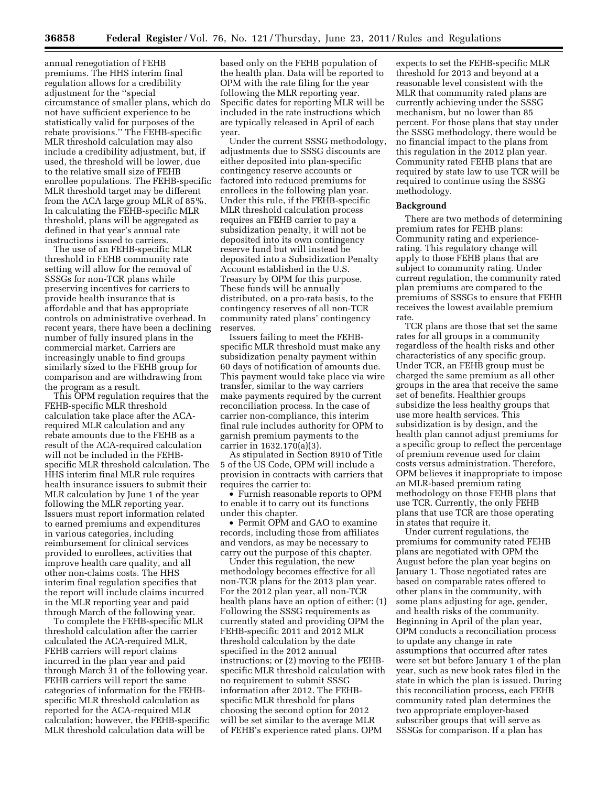annual renegotiation of FEHB premiums. The HHS interim final regulation allows for a credibility adjustment for the ''special circumstance of smaller plans, which do not have sufficient experience to be statistically valid for purposes of the rebate provisions.'' The FEHB-specific MLR threshold calculation may also include a credibility adjustment, but, if used, the threshold will be lower, due to the relative small size of FEHB enrollee populations. The FEHB-specific MLR threshold target may be different from the ACA large group MLR of 85%. In calculating the FEHB-specific MLR threshold, plans will be aggregated as defined in that year's annual rate instructions issued to carriers.

The use of an FEHB-specific MLR threshold in FEHB community rate setting will allow for the removal of SSSGs for non-TCR plans while preserving incentives for carriers to provide health insurance that is affordable and that has appropriate controls on administrative overhead. In recent years, there have been a declining number of fully insured plans in the commercial market. Carriers are increasingly unable to find groups similarly sized to the FEHB group for comparison and are withdrawing from the program as a result.

This OPM regulation requires that the FEHB-specific MLR threshold calculation take place after the ACArequired MLR calculation and any rebate amounts due to the FEHB as a result of the ACA-required calculation will not be included in the FEHBspecific MLR threshold calculation. The HHS interim final MLR rule requires health insurance issuers to submit their MLR calculation by June 1 of the year following the MLR reporting year. Issuers must report information related to earned premiums and expenditures in various categories, including reimbursement for clinical services provided to enrollees, activities that improve health care quality, and all other non-claims costs. The HHS interim final regulation specifies that the report will include claims incurred in the MLR reporting year and paid through March of the following year.

To complete the FEHB-specific MLR threshold calculation after the carrier calculated the ACA-required MLR, FEHB carriers will report claims incurred in the plan year and paid through March 31 of the following year. FEHB carriers will report the same categories of information for the FEHBspecific MLR threshold calculation as reported for the ACA-required MLR calculation; however, the FEHB-specific MLR threshold calculation data will be

based only on the FEHB population of the health plan. Data will be reported to OPM with the rate filing for the year following the MLR reporting year. Specific dates for reporting MLR will be included in the rate instructions which are typically released in April of each year.

Under the current SSSG methodology, adjustments due to SSSG discounts are either deposited into plan-specific contingency reserve accounts or factored into reduced premiums for enrollees in the following plan year. Under this rule, if the FEHB-specific MLR threshold calculation process requires an FEHB carrier to pay a subsidization penalty, it will not be deposited into its own contingency reserve fund but will instead be deposited into a Subsidization Penalty Account established in the U.S. Treasury by OPM for this purpose. These funds will be annually distributed, on a pro-rata basis, to the contingency reserves of all non-TCR community rated plans' contingency reserves.

Issuers failing to meet the FEHBspecific MLR threshold must make any subsidization penalty payment within 60 days of notification of amounts due. This payment would take place via wire transfer, similar to the way carriers make payments required by the current reconciliation process. In the case of carrier non-compliance, this interim final rule includes authority for OPM to garnish premium payments to the carrier in 1632.170(a)(3).

As stipulated in Section 8910 of Title 5 of the US Code, OPM will include a provision in contracts with carriers that requires the carrier to:

• Furnish reasonable reports to OPM to enable it to carry out its functions under this chapter.

• Permit OPM and GAO to examine records, including those from affiliates and vendors, as may be necessary to carry out the purpose of this chapter.

Under this regulation, the new methodology becomes effective for all non-TCR plans for the 2013 plan year. For the 2012 plan year, all non-TCR health plans have an option of either: (1) Following the SSSG requirements as currently stated and providing OPM the FEHB-specific 2011 and 2012 MLR threshold calculation by the date specified in the 2012 annual instructions; or (2) moving to the FEHBspecific MLR threshold calculation with no requirement to submit SSSG information after 2012. The FEHBspecific MLR threshold for plans choosing the second option for 2012 will be set similar to the average MLR of FEHB's experience rated plans. OPM

expects to set the FEHB-specific MLR threshold for 2013 and beyond at a reasonable level consistent with the MLR that community rated plans are currently achieving under the SSSG mechanism, but no lower than 85 percent. For those plans that stay under the SSSG methodology, there would be no financial impact to the plans from this regulation in the 2012 plan year. Community rated FEHB plans that are required by state law to use TCR will be required to continue using the SSSG methodology.

## **Background**

There are two methods of determining premium rates for FEHB plans: Community rating and experiencerating. This regulatory change will apply to those FEHB plans that are subject to community rating. Under current regulation, the community rated plan premiums are compared to the premiums of SSSGs to ensure that FEHB receives the lowest available premium rate

TCR plans are those that set the same rates for all groups in a community regardless of the health risks and other characteristics of any specific group. Under TCR, an FEHB group must be charged the same premium as all other groups in the area that receive the same set of benefits. Healthier groups subsidize the less healthy groups that use more health services. This subsidization is by design, and the health plan cannot adjust premiums for a specific group to reflect the percentage of premium revenue used for claim costs versus administration. Therefore, OPM believes it inappropriate to impose an MLR-based premium rating methodology on those FEHB plans that use TCR. Currently, the only FEHB plans that use TCR are those operating in states that require it.

Under current regulations, the premiums for community rated FEHB plans are negotiated with OPM the August before the plan year begins on January 1. Those negotiated rates are based on comparable rates offered to other plans in the community, with some plans adjusting for age, gender, and health risks of the community. Beginning in April of the plan year, OPM conducts a reconciliation process to update any change in rate assumptions that occurred after rates were set but before January 1 of the plan year, such as new book rates filed in the state in which the plan is issued. During this reconciliation process, each FEHB community rated plan determines the two appropriate employer-based subscriber groups that will serve as SSSGs for comparison. If a plan has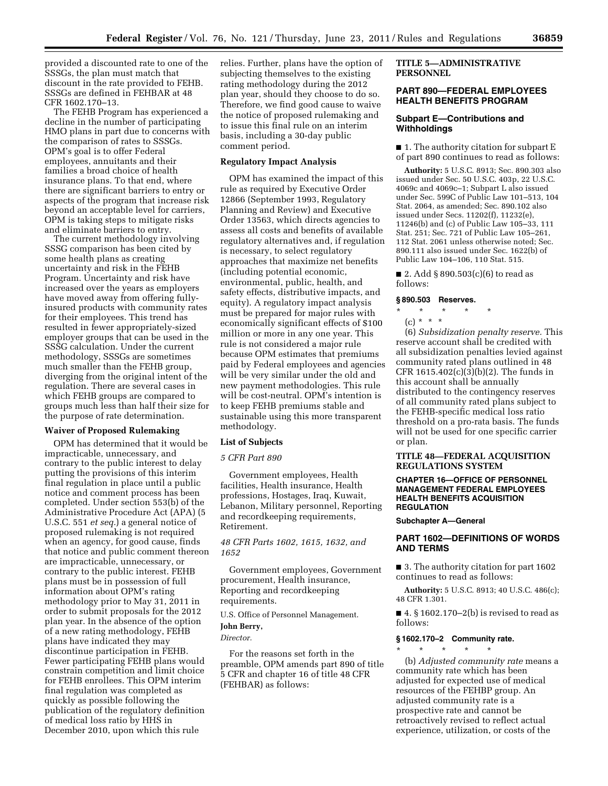provided a discounted rate to one of the SSSGs, the plan must match that discount in the rate provided to FEHB. SSSGs are defined in FEHBAR at 48 CFR 1602.170–13.

The FEHB Program has experienced a decline in the number of participating HMO plans in part due to concerns with the comparison of rates to SSSGs. OPM's goal is to offer Federal employees, annuitants and their families a broad choice of health insurance plans. To that end, where there are significant barriers to entry or aspects of the program that increase risk beyond an acceptable level for carriers, OPM is taking steps to mitigate risks and eliminate barriers to entry.

The current methodology involving SSSG comparison has been cited by some health plans as creating uncertainty and risk in the FEHB Program. Uncertainty and risk have increased over the years as employers have moved away from offering fullyinsured products with community rates for their employees. This trend has resulted in fewer appropriately-sized employer groups that can be used in the SSSG calculation. Under the current methodology, SSSGs are sometimes much smaller than the FEHB group, diverging from the original intent of the regulation. There are several cases in which FEHB groups are compared to groups much less than half their size for the purpose of rate determination.

## **Waiver of Proposed Rulemaking**

OPM has determined that it would be impracticable, unnecessary, and contrary to the public interest to delay putting the provisions of this interim final regulation in place until a public notice and comment process has been completed. Under section 553(b) of the Administrative Procedure Act (APA) (5 U.S.C. 551 *et seq.*) a general notice of proposed rulemaking is not required when an agency, for good cause, finds that notice and public comment thereon are impracticable, unnecessary, or contrary to the public interest. FEHB plans must be in possession of full information about OPM's rating methodology prior to May 31, 2011 in order to submit proposals for the 2012 plan year. In the absence of the option of a new rating methodology, FEHB plans have indicated they may discontinue participation in FEHB. Fewer participating FEHB plans would constrain competition and limit choice for FEHB enrollees. This OPM interim final regulation was completed as quickly as possible following the publication of the regulatory definition of medical loss ratio by HHS in December 2010, upon which this rule

relies. Further, plans have the option of subjecting themselves to the existing rating methodology during the 2012 plan year, should they choose to do so. Therefore, we find good cause to waive the notice of proposed rulemaking and to issue this final rule on an interim basis, including a 30-day public comment period.

# **Regulatory Impact Analysis**

OPM has examined the impact of this rule as required by Executive Order 12866 (September 1993, Regulatory Planning and Review) and Executive Order 13563, which directs agencies to assess all costs and benefits of available regulatory alternatives and, if regulation is necessary, to select regulatory approaches that maximize net benefits (including potential economic, environmental, public, health, and safety effects, distributive impacts, and equity). A regulatory impact analysis must be prepared for major rules with economically significant effects of \$100 million or more in any one year. This rule is not considered a major rule because OPM estimates that premiums paid by Federal employees and agencies will be very similar under the old and new payment methodologies. This rule will be cost-neutral. OPM's intention is to keep FEHB premiums stable and sustainable using this more transparent methodology.

## **List of Subjects**

#### *5 CFR Part 890*

Government employees, Health facilities, Health insurance, Health professions, Hostages, Iraq, Kuwait, Lebanon, Military personnel, Reporting and recordkeeping requirements, Retirement.

# *48 CFR Parts 1602, 1615, 1632, and 1652*

Government employees, Government procurement, Health insurance, Reporting and recordkeeping requirements.

U.S. Office of Personnel Management.

# **John Berry,**

## *Director.*

For the reasons set forth in the preamble, OPM amends part 890 of title 5 CFR and chapter 16 of title 48 CFR (FEHBAR) as follows:

# **TITLE 5—ADMINISTRATIVE PERSONNEL**

# **PART 890—FEDERAL EMPLOYEES HEALTH BENEFITS PROGRAM**

# **Subpart E—Contributions and Withholdings**

■ 1. The authority citation for subpart E of part 890 continues to read as follows:

**Authority:** 5 U.S.C. 8913; Sec. 890.303 also issued under Sec. 50 U.S.C. 403p, 22 U.S.C. 4069c and 4069c–1; Subpart L also issued under Sec. 599C of Public Law 101–513, 104 Stat. 2064, as amended; Sec. 890.102 also issued under Secs. 11202(f), 11232(e), 11246(b) and (c) of Public Law 105–33, 111 Stat. 251; Sec. 721 of Public Law 105–261, 112 Stat. 2061 unless otherwise noted; Sec. 890.111 also issued under Sec. 1622(b) of Public Law 104–106, 110 Stat. 515.

■ 2. Add § 890.503 $(c)(6)$  to read as follows:

## **§ 890.503 Reserves.**

\* \* \* \* \*

 $(c) * * * *$ (6) *Subsidization penalty reserve.* This reserve account shall be credited with all subsidization penalties levied against community rated plans outlined in 48 CFR 1615.402(c)(3)(b)(2). The funds in this account shall be annually distributed to the contingency reserves of all community rated plans subject to the FEHB-specific medical loss ratio threshold on a pro-rata basis. The funds will not be used for one specific carrier or plan.

## **TITLE 48—FEDERAL ACQUISITION REGULATIONS SYSTEM**

## **CHAPTER 16—OFFICE OF PERSONNEL MANAGEMENT FEDERAL EMPLOYEES HEALTH BENEFITS ACQUISITION REGULATION**

**Subchapter A—General** 

# **PART 1602—DEFINITIONS OF WORDS AND TERMS**

■ 3. The authority citation for part 1602 continues to read as follows:

**Authority:** 5 U.S.C. 8913; 40 U.S.C. 486(c); 48 CFR 1.301.

 $\blacksquare$  4. § 1602.170–2(b) is revised to read as follows:

# **§ 1602.170–2 Community rate.**

\* \* \* \* \* (b) *Adjusted community rate* means a community rate which has been adjusted for expected use of medical resources of the FEHBP group. An adjusted community rate is a prospective rate and cannot be retroactively revised to reflect actual experience, utilization, or costs of the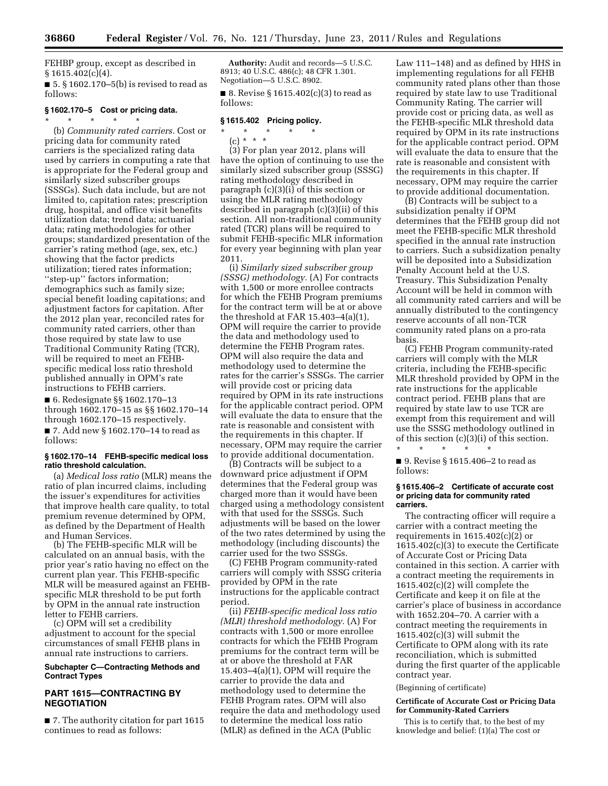FEHBP group, except as described in  $§ 1615.402(c)(4).$ 

 $\blacksquare$  5. § 1602.170–5(b) is revised to read as follows:

# **§ 1602.170–5 Cost or pricing data.**

\* \* \* \* \* (b) *Community rated carriers.* Cost or pricing data for community rated carriers is the specialized rating data used by carriers in computing a rate that is appropriate for the Federal group and similarly sized subscriber groups (SSSGs). Such data include, but are not limited to, capitation rates; prescription drug, hospital, and office visit benefits utilization data; trend data; actuarial data; rating methodologies for other groups; standardized presentation of the carrier's rating method (age, sex, etc.) showing that the factor predicts utilization; tiered rates information; ''step-up'' factors information; demographics such as family size; special benefit loading capitations; and adjustment factors for capitation. After the 2012 plan year, reconciled rates for community rated carriers, other than those required by state law to use Traditional Community Rating (TCR), will be required to meet an FEHBspecific medical loss ratio threshold published annually in OPM's rate instructions to FEHB carriers.

■ 6. Redesignate §§ 1602.170–13 through 1602.170–15 as §§ 1602.170–14 through 1602.170–15 respectively. ■ 7. Add new § 1602.170–14 to read as

follows:

#### **§ 1602.170–14 FEHB-specific medical loss ratio threshold calculation.**

(a) *Medical loss ratio* (MLR) means the ratio of plan incurred claims, including the issuer's expenditures for activities that improve health care quality, to total premium revenue determined by OPM, as defined by the Department of Health and Human Services.

(b) The FEHB-specific MLR will be calculated on an annual basis, with the prior year's ratio having no effect on the current plan year. This FEHB-specific MLR will be measured against an FEHBspecific MLR threshold to be put forth by OPM in the annual rate instruction letter to FEHB carriers.

(c) OPM will set a credibility adjustment to account for the special circumstances of small FEHB plans in annual rate instructions to carriers.

# **Subchapter C—Contracting Methods and Contract Types**

# **PART 1615—CONTRACTING BY NEGOTIATION**

■ 7. The authority citation for part 1615 continues to read as follows:

**Authority:** Audit and records—5 U.S.C. 8913; 40 U.S.C. 486(c); 48 CFR 1.301. Negotiation—5 U.S.C. 8902.

■ 8. Revise § 1615.402(c)(3) to read as

# **§ 1615.402 Pricing policy.**

- \* \* \* \* \*
	- (c) \* \* \*

follows:

(3) For plan year 2012, plans will have the option of continuing to use the similarly sized subscriber group (SSSG) rating methodology described in paragraph (c)(3)(i) of this section or using the MLR rating methodology described in paragraph (c)(3)(ii) of this section. All non-traditional community rated (TCR) plans will be required to submit FEHB-specific MLR information for every year beginning with plan year 2011.

(i) *Similarly sized subscriber group (SSSG) methodology.* (A) For contracts with 1,500 or more enrollee contracts for which the FEHB Program premiums for the contract term will be at or above the threshold at FAR 15.403–4(a)(1), OPM will require the carrier to provide the data and methodology used to determine the FEHB Program rates. OPM will also require the data and methodology used to determine the rates for the carrier's SSSGs. The carrier will provide cost or pricing data required by OPM in its rate instructions for the applicable contract period. OPM will evaluate the data to ensure that the rate is reasonable and consistent with the requirements in this chapter. If necessary, OPM may require the carrier to provide additional documentation.

(B) Contracts will be subject to a downward price adjustment if OPM determines that the Federal group was charged more than it would have been charged using a methodology consistent with that used for the SSSGs. Such adjustments will be based on the lower of the two rates determined by using the methodology (including discounts) the carrier used for the two SSSGs.

(C) FEHB Program community-rated carriers will comply with SSSG criteria provided by OPM in the rate instructions for the applicable contract period.

(ii) *FEHB-specific medical loss ratio (MLR) threshold methodology.* (A) For contracts with 1,500 or more enrollee contracts for which the FEHB Program premiums for the contract term will be at or above the threshold at FAR 15.403–4(a)(1), OPM will require the carrier to provide the data and methodology used to determine the FEHB Program rates. OPM will also require the data and methodology used to determine the medical loss ratio (MLR) as defined in the ACA (Public

Law 111–148) and as defined by HHS in implementing regulations for all FEHB community rated plans other than those required by state law to use Traditional Community Rating. The carrier will provide cost or pricing data, as well as the FEHB-specific MLR threshold data required by OPM in its rate instructions for the applicable contract period. OPM will evaluate the data to ensure that the rate is reasonable and consistent with the requirements in this chapter. If necessary, OPM may require the carrier to provide additional documentation.

(B) Contracts will be subject to a subsidization penalty if OPM determines that the FEHB group did not meet the FEHB-specific MLR threshold specified in the annual rate instruction to carriers. Such a subsidization penalty will be deposited into a Subsidization Penalty Account held at the U.S. Treasury. This Subsidization Penalty Account will be held in common with all community rated carriers and will be annually distributed to the contingency reserve accounts of all non-TCR community rated plans on a pro-rata basis.

(C) FEHB Program community-rated carriers will comply with the MLR criteria, including the FEHB-specific MLR threshold provided by OPM in the rate instructions for the applicable contract period. FEHB plans that are required by state law to use TCR are exempt from this requirement and will use the SSSG methodology outlined in of this section (c)(3)(i) of this section.

\* \* \* \* \* ■ 9. Revise § 1615.406–2 to read as follows:

#### **§ 1615.406–2 Certificate of accurate cost or pricing data for community rated carriers.**

The contracting officer will require a carrier with a contract meeting the requirements in 1615.402(c)(2) or 1615.402(c)(3) to execute the Certificate of Accurate Cost or Pricing Data contained in this section. A carrier with a contract meeting the requirements in  $1615.402(c)(2)$  will complete the Certificate and keep it on file at the carrier's place of business in accordance with 1652.204–70. A carrier with a contract meeting the requirements in 1615.402(c)(3) will submit the Certificate to OPM along with its rate reconciliation, which is submitted during the first quarter of the applicable contract year.

(Beginning of certificate)

#### **Certificate of Accurate Cost or Pricing Data for Community-Rated Carriers**

This is to certify that, to the best of my knowledge and belief: (1)(a) The cost or